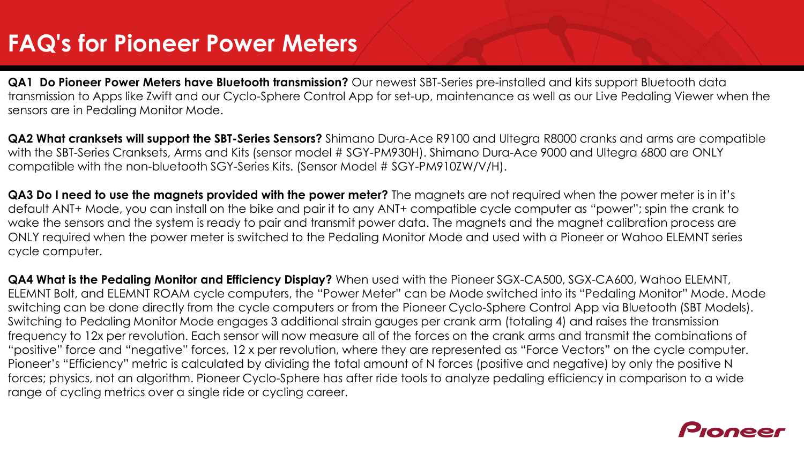## **FAQ's for Pioneer Power Meters**

**QA1 Do Pioneer Power Meters have Bluetooth transmission?** Our newest SBT-Series pre-installed and kits support Bluetooth data transmission to Apps like Zwift and our Cyclo-Sphere Control App for set-up, maintenance as well as our Live Pedaling Viewer when the sensors are in Pedaling Monitor Mode.

**QA2 What cranksets will support the SBT-Series Sensors?** Shimano Dura-Ace R9100 and Ultegra R8000 cranks and arms are compatible with the SBT-Series Cranksets, Arms and Kits (sensor model # SGY-PM930H). Shimano Dura-Ace 9000 and Ultegra 6800 are ONLY compatible with the non-bluetooth SGY-Series Kits. (Sensor Model # SGY-PM910ZW/V/H).

**QA3 Do I need to use the magnets provided with the power meter?** The magnets are not required when the power meter is in it's default ANT+ Mode, you can install on the bike and pair it to any ANT+ compatible cycle computer as "power"; spin the crank to wake the sensors and the system is ready to pair and transmit power data. The magnets and the magnet calibration process are ONLY required when the power meter is switched to the Pedaling Monitor Mode and used with a Pioneer or Wahoo ELEMNT series cycle computer.

**QA4 What is the Pedaling Monitor and Efficiency Display?** When used with the Pioneer SGX-CA500, SGX-CA600, Wahoo ELEMNT, ELEMNT Bolt, and ELEMNT ROAM cycle computers, the "Power Meter" can be Mode switched into its "Pedaling Monitor" Mode. Mode switching can be done directly from the cycle computers or from the Pioneer Cyclo-Sphere Control App via Bluetooth (SBT Models). Switching to Pedaling Monitor Mode engages 3 additional strain gauges per crank arm (totaling 4) and raises the transmission frequency to 12x per revolution. Each sensor will now measure all of the forces on the crank arms and transmit the combinations of "positive" force and "negative" forces, 12 x per revolution, where they are represented as "Force Vectors" on the cycle computer. Pioneer's "Efficiency" metric is calculated by dividing the total amount of N forces (positive and negative) by only the positive N forces; physics, not an algorithm. Pioneer Cyclo-Sphere has after ride tools to analyze pedaling efficiency in comparison to a wide range of cycling metrics over a single ride or cycling career.

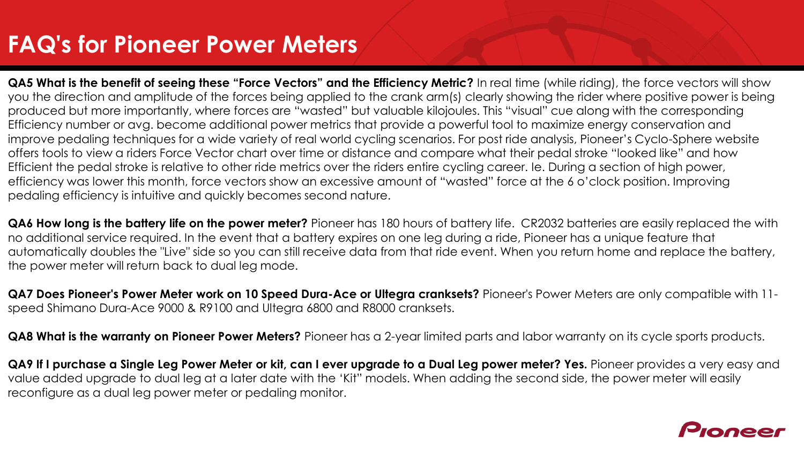### **FAQ's for Pioneer Power Meters**

**QA5 What is the benefit of seeing these "Force Vectors" and the Efficiency Metric?** In real time (while riding), the force vectors will show you the direction and amplitude of the forces being applied to the crank arm(s) clearly showing the rider where positive power is being produced but more importantly, where forces are "wasted" but valuable kilojoules. This "visual" cue along with the corresponding Efficiency number or avg. become additional power metrics that provide a powerful tool to maximize energy conservation and improve pedaling techniques for a wide variety of real world cycling scenarios. For post ride analysis, Pioneer's Cyclo-Sphere website offers tools to view a riders Force Vector chart over time or distance and compare what their pedal stroke "looked like" and how Efficient the pedal stroke is relative to other ride metrics over the riders entire cycling career. Ie. During a section of high power, efficiency was lower this month, force vectors show an excessive amount of "wasted" force at the 6 o'clock position. Improving pedaling efficiency is intuitive and quickly becomes second nature.

**QA6 How long is the battery life on the power meter?** Pioneer has 180 hours of battery life. CR2032 batteries are easily replaced the with no additional service required. In the event that a battery expires on one leg during a ride, Pioneer has a unique feature that automatically doubles the "Live" side so you can still receive data from that ride event. When you return home and replace the battery, the power meter will return back to dual leg mode.

**QA7 Does Pioneer's Power Meter work on 10 Speed Dura-Ace or Ultegra cranksets?** Pioneer's Power Meters are only compatible with 11 speed Shimano Dura-Ace 9000 & R9100 and Ultegra 6800 and R8000 cranksets.

**QA8 What is the warranty on Pioneer Power Meters?** Pioneer has a 2-year limited parts and labor warranty on its cycle sports products.

**QA9 If I purchase a Single Leg Power Meter or kit, can I ever upgrade to a Dual Leg power meter? Yes.** Pioneer provides a very easy and value added upgrade to dual leg at a later date with the 'Kit" models. When adding the second side, the power meter will easily reconfigure as a dual leg power meter or pedaling monitor.

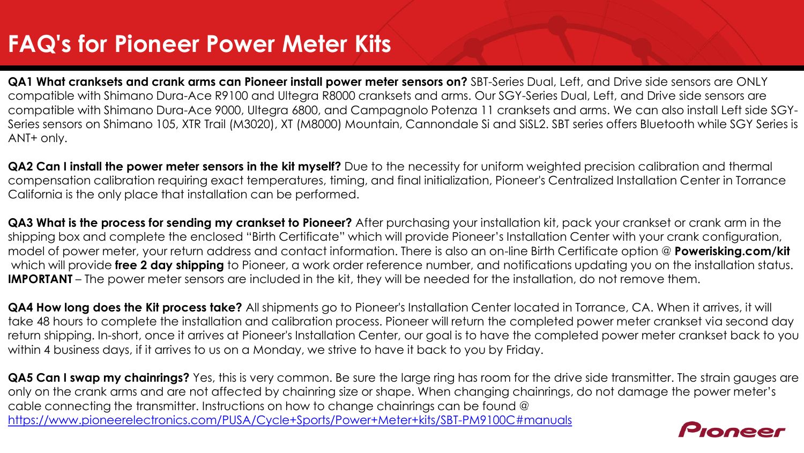# **FAQ's for Pioneer Power Meter Kits**

**QA1 What cranksets and crank arms can Pioneer install power meter sensors on?** SBT-Series Dual, Left, and Drive side sensors are ONLY compatible with Shimano Dura-Ace R9100 and Ultegra R8000 cranksets and arms. Our SGY-Series Dual, Left, and Drive side sensors are compatible with Shimano Dura-Ace 9000, Ultegra 6800, and Campagnolo Potenza 11 cranksets and arms. We can also install Left side SGY-Series sensors on Shimano 105, XTR Trail (M3020), XT (M8000) Mountain, Cannondale Si and SiSL2. SBT series offers Bluetooth while SGY Series is ANT+ only.

**QA2 Can I install the power meter sensors in the kit myself?** Due to the necessity for uniform weighted precision calibration and thermal compensation calibration requiring exact temperatures, timing, and final initialization, Pioneer's Centralized Installation Center in Torrance California is the only place that installation can be performed.

**QA3 What is the process for sending my crankset to Pioneer?** After purchasing your installation kit, pack your crankset or crank arm in the shipping box and complete the enclosed "Birth Certificate" which will provide Pioneer's Installation Center with your crank configuration, model of power meter, your return address and contact information. There is also an on-line Birth Certificate option @ **Powerisking.com/kit** which will provide **free 2 day shipping** to Pioneer, a work order reference number, and notifications updating you on the installation status. **IMPORTANT** – The power meter sensors are included in the kit, they will be needed for the installation, do not remove them.

**QA4 How long does the Kit process take?** All shipments go to Pioneer's Installation Center located in Torrance, CA. When it arrives, it will take 48 hours to complete the installation and calibration process. Pioneer will return the completed power meter crankset via second day return shipping. In-short, once it arrives at Pioneer's Installation Center, our goal is to have the completed power meter crankset back to you within 4 business days, if it arrives to us on a Monday, we strive to have it back to you by Friday.

**QA5 Can I swap my chainrings?** Yes, this is very common. Be sure the large ring has room for the drive side transmitter. The strain gauges are only on the crank arms and are not affected by chainring size or shape. When changing chainrings, do not damage the power meter's cable connecting the transmitter. Instructions on how to change chainrings can be found @ <https://www.pioneerelectronics.com/PUSA/Cycle+Sports/Power+Meter+kits/SBT-PM9100C#manuals>

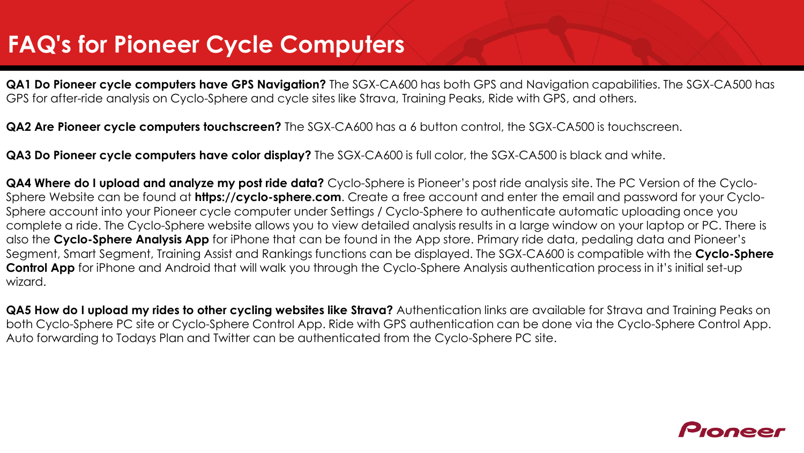#### **FAQ's for Pioneer Cycle Computers**

**QA1 Do Pioneer cycle computers have GPS Navigation?** The SGX-CA600 has both GPS and Navigation capabilities. The SGX-CA500 has GPS for after-ride analysis on Cyclo-Sphere and cycle sites like Strava, Training Peaks, Ride with GPS, and others.

**QA2 Are Pioneer cycle computers touchscreen?** The SGX-CA600 has a 6 button control, the SGX-CA500 is touchscreen.

**QA3 Do Pioneer cycle computers have color display?** The SGX-CA600 is full color, the SGX-CA500 is black and white.

**QA4 Where do I upload and analyze my post ride data?** Cyclo-Sphere is Pioneer's post ride analysis site. The PC Version of the Cyclo-Sphere Website can be found at **https://cyclo-sphere.com**. Create a free account and enter the email and password for your Cyclo-Sphere account into your Pioneer cycle computer under Settings / Cyclo-Sphere to authenticate automatic uploading once you complete a ride. The Cyclo-Sphere website allows you to view detailed analysis results in a large window on your laptop or PC. There is also the **Cyclo-Sphere Analysis App** for iPhone that can be found in the App store. Primary ride data, pedaling data and Pioneer's Segment, Smart Segment, Training Assist and Rankings functions can be displayed. The SGX-CA600 is compatible with the **Cyclo-Sphere Control App** for iPhone and Android that will walk you through the Cyclo-Sphere Analysis authentication process in it's initial set-up wizard.

**QA5 How do I upload my rides to other cycling websites like Strava?** Authentication links are available for Strava and Training Peaks on both Cyclo-Sphere PC site or Cyclo-Sphere Control App. Ride with GPS authentication can be done via the Cyclo-Sphere Control App. Auto forwarding to Todays Plan and Twitter can be authenticated from the Cyclo-Sphere PC site.

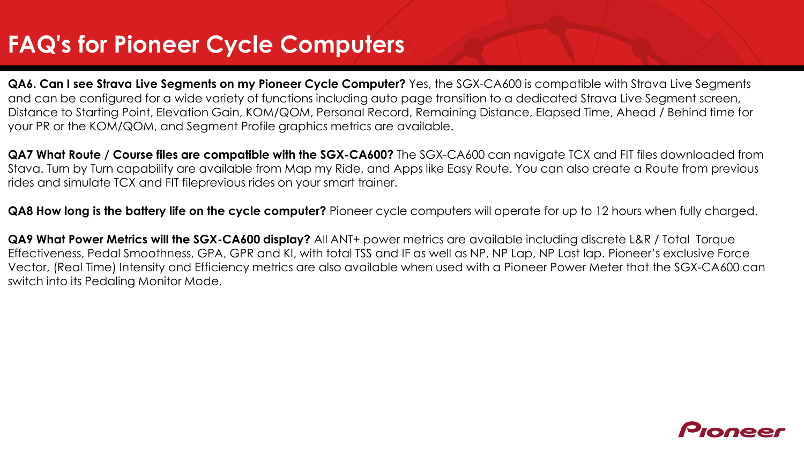#### **FAQ's for Pioneer Cycle Computers**

**QA6. Can I see Strava Live Segments on my Pioneer Cycle Computer?** Yes, the SGX-CA600 is compatible with Strava Live Segments and can be configured for a wide variety of functions including auto page transition to a dedicated Strava Live Segment screen, Distance to Starting Point, Elevation Gain, KOM/QOM, Personal Record, Remaining Distance, Elapsed Time, Ahead / Behind time for your PR or the KOM/QOM, and Segment Profile graphics metrics are available.

**QA7 What Route / Course files are compatible with the SGX-CA600?** The SGX-CA600 can navigate TCX and FIT files downloaded from Stava. Turn by Turn capability are available from Map my Ride, and Apps like Easy Route. You can also create a Route from previous rides and simulate TCX and FIT fileprevious rides on your smart trainer.

**QA8 How long is the battery life on the cycle computer?** Pioneer cycle computers will operate for up to 12 hours when fully charged.

**QA9 What Power Metrics will the SGX-CA600 display?** All ANT+ power metrics are available including discrete L&R / Total Torque Effectiveness, Pedal Smoothness, GPA, GPR and KI, with total TSS and IF as well as NP, NP Lap, NP Last lap. Pioneer's exclusive Force Vector, (Real Time) Intensity and Efficiency metrics are also available when used with a Pioneer Power Meter that the SGX-CA600 can switch into its Pedaling Monitor Mode.